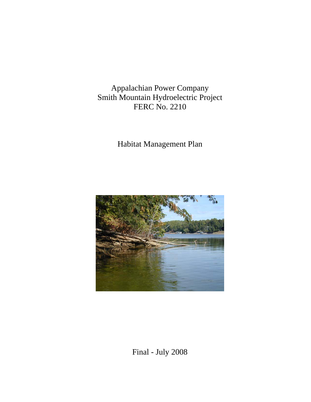Appalachian Power Company Smith Mountain Hydroelectric Project FERC No. 2210

Habitat Management Plan



Final - July 2008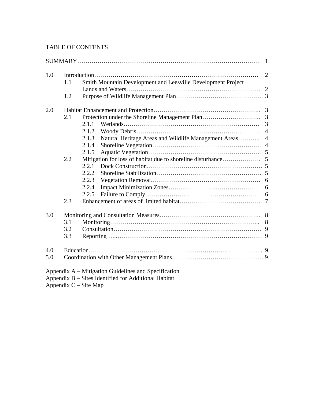## TABLE OF CONTENTS

| 1.0 |     |                                                                                 |  |  |  |  |
|-----|-----|---------------------------------------------------------------------------------|--|--|--|--|
|     | 1.1 | Smith Mountain Development and Leesville Development Project                    |  |  |  |  |
|     |     |                                                                                 |  |  |  |  |
|     | 1.2 |                                                                                 |  |  |  |  |
| 2.0 |     |                                                                                 |  |  |  |  |
|     | 2.1 |                                                                                 |  |  |  |  |
|     |     | $\overline{3}$<br>2.1.1                                                         |  |  |  |  |
|     |     | $\overline{4}$<br>2.1.2                                                         |  |  |  |  |
|     |     | 2.1.3<br>Natural Heritage Areas and Wildlife Management Areas<br>$\overline{4}$ |  |  |  |  |
|     |     | 2.1.4                                                                           |  |  |  |  |
|     |     | 2.1.5                                                                           |  |  |  |  |
|     | 2.2 |                                                                                 |  |  |  |  |
|     |     | 2.2.1                                                                           |  |  |  |  |
|     |     | 2.2.2                                                                           |  |  |  |  |
|     |     | 2.2.3                                                                           |  |  |  |  |
|     |     | 2.2.4                                                                           |  |  |  |  |
|     |     | 2.2.5                                                                           |  |  |  |  |
|     | 2.3 |                                                                                 |  |  |  |  |
| 3.0 |     |                                                                                 |  |  |  |  |
|     | 3.1 |                                                                                 |  |  |  |  |
|     | 3.2 |                                                                                 |  |  |  |  |
|     | 3.3 |                                                                                 |  |  |  |  |
| 4.0 |     |                                                                                 |  |  |  |  |
| 5.0 |     |                                                                                 |  |  |  |  |
|     |     | Appendix A – Mitigation Guidelines and Specification                            |  |  |  |  |
|     |     | Appendix B – Sites Identified for Additional Habitat                            |  |  |  |  |

Appendix C – Site Map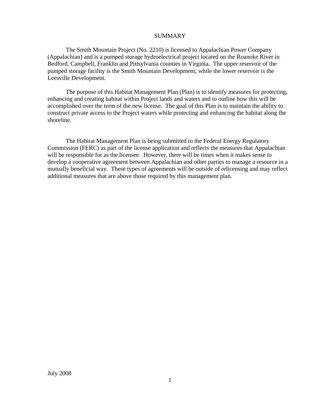#### SUMMARY

The Smith Mountain Project (No. 2210) is licensed to Appalachian Power Company (Appalachian) and is a pumped storage hydroelectrical project located on the Roanoke River in Bedford, Campbell, Franklin and Pittsylvania counties in Virginia. The upper reservoir of the pumped storage facility is the Smith Mountain Development, while the lower reservoir is the Leesville Development.

The purpose of this Habitat Management Plan (Plan) is to identify measures for protecting, enhancing and creating habitat within Project lands and waters and to outline how this will be accomplished over the term of the new license. The goal of this Plan is to maintain the ability to construct private access to the Project waters while protecting and enhancing the habitat along the shoreline.

The Habitat Management Plan is being submitted to the Federal Energy Regulatory Commission (FERC) as part of the license application and reflects the measures that Appalachian will be responsible for as the licensee. However, there will be times when it makes sense to develop a cooperative agreement between Appalachian and other parties to manage a resource in a mutually beneficial way. These types of agreements will be outside of relicensing and may reflect additional measures that are above those required by this management plan.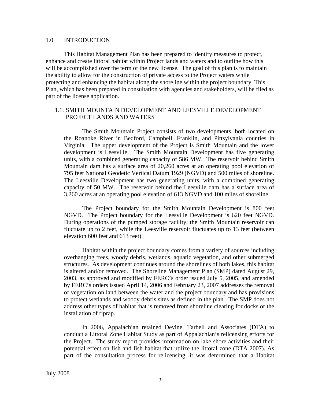#### 1.0 INTRODUCTION

This Habitat Management Plan has been prepared to identify measures to protect, enhance and create littoral habitat within Project lands and waters and to outline how this will be accomplished over the term of the new license. The goal of this plan is to maintain the ability to allow for the construction of private access to the Project waters while protecting and enhancing the habitat along the shoreline within the project boundary. This Plan, which has been prepared in consultation with agencies and stakeholders, will be filed as part of the license application.

#### 1.1. SMITH MOUNTAIN DEVELOPMENT AND LEESVILLE DEVELOPMENT PROJECT LANDS AND WATERS

The Smith Mountain Project consists of two developments, both located on the Roanoke River in Bedford, Campbell, Franklin, and Pittsylvania counties in Virginia. The upper development of the Project is Smith Mountain and the lower development is Leesville. The Smith Mountain Development has five generating units, with a combined generating capacity of 586 MW. The reservoir behind Smith Mountain dam has a surface area of 20,260 acres at an operating pool elevation of 795 feet National Geodetic Vertical Datum 1929 (NGVD) and 500 miles of shoreline. The Leesville Development has two generating units, with a combined generating capacity of 50 MW. The reservoir behind the Leesville dam has a surface area of 3,260 acres at an operating pool elevation of 613 NGVD and 100 miles of shoreline.

The Project boundary for the Smith Mountain Development is 800 feet NGVD. The Project boundary for the Leesville Development is 620 feet NGVD. During operations of the pumped storage facility, the Smith Mountain reservoir can fluctuate up to 2 feet, while the Leesville reservoir fluctuates up to 13 feet (between elevation 600 feet and 613 feet).

Habitat within the project boundary comes from a variety of sources including overhanging trees, woody debris, wetlands, aquatic vegetation, and other submerged structures. As development continues around the shorelines of both lakes, this habitat is altered and/or removed. The Shoreline Management Plan (SMP) dated August 29, 2003, as approved and modified by FERC's order issued July 5, 2005, and amended by FERC's orders issued April 14, 2006 and February 23, 2007 addresses the removal of vegetation on land between the water and the project boundary and has provisions to protect wetlands and woody debris sites as defined in the plan. The SMP does not address other types of habitat that is removed from shoreline clearing for docks or the installation of riprap.

In 2006, Appalachian retained Devine, Tarbell and Associates (DTA) to conduct a Littoral Zone Habitat Study as part of Appalachian's relicensing efforts for the Project. The study report provides information on lake shore activities and their potential effect on fish and fish habitat that utilize the littoral zone (DTA 2007). As part of the consultation process for relicensing, it was determined that a Habitat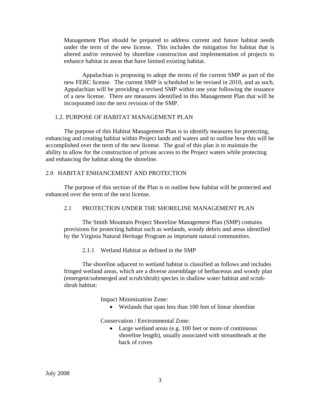Management Plan should be prepared to address current and future habitat needs under the term of the new license. This includes the mitigation for habitat that is altered and/or removed by shoreline construction and implementation of projects to enhance habitat in areas that have limited existing habitat.

Appalachian is proposing to adopt the terms of the current SMP as part of the new FERC license. The current SMP is scheduled to be revised in 2010, and as such, Appalachian will be providing a revised SMP within one year following the issuance of a new license. There are measures identified in this Management Plan that will be incorporated into the next revision of the SMP.

## 1.2. PURPOSE OF HABITAT MANAGEMENT PLAN

The purpose of this Habitat Management Plan is to identify measures for protecting, enhancing and creating habitat within Project lands and waters and to outline how this will be accomplished over the term of the new license. The goal of this plan is to maintain the ability to allow for the construction of private access to the Project waters while protecting and enhancing the habitat along the shoreline.

## 2.0 HABITAT ENHANCEMENT AND PROTECTION

The purpose of this section of the Plan is to outline how habitat will be protected and enhanced over the term of the next license.

## 2.1 PROTECTION UNDER THE SHORELINE MANAGEMENT PLAN

The Smith Mountain Project Shoreline Management Plan (SMP) contains provisions for protecting habitat such as wetlands, woody debris and areas identified by the Virginia Natural Heritage Program as important natural communities.

2.1.1 Wetland Habitat as defined in the SMP

The shoreline adjacent to wetland habitat is classified as follows and includes fringed wetland areas, which are a diverse assemblage of herbaceous and woody plan (emergent/submerged and scrub/shrub) species in shallow water habitat and scrubshrub habitat:

Impact Minimization Zone:

• Wetlands that span less than 100 feet of linear shoreline

Conservation / Environmental Zone:

• Large wetland areas (e.g. 100 feet or more of continuous shoreline length), usually associated with streamheads at the back of coves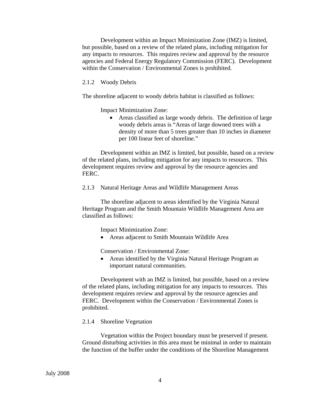Development within an Impact Minimization Zone (IMZ) is limited, but possible, based on a review of the related plans, including mitigation for any impacts to resources. This requires review and approval by the resource agencies and Federal Energy Regulatory Commission (FERC). Development within the Conservation / Environmental Zones is prohibited.

#### 2.1.2 Woody Debris

The shoreline adjacent to woody debris habitat is classified as follows:

Impact Minimization Zone:

• Areas classified as large woody debris. The definition of large woody debris areas is "Areas of large downed trees with a density of more than 5 trees greater than 10 inches in diameter per 100 linear feet of shoreline."

Development within an IMZ is limited, but possible, based on a review of the related plans, including mitigation for any impacts to resources. This development requires review and approval by the resource agencies and FERC.

2.1.3 Natural Heritage Areas and Wildlife Management Areas

The shoreline adjacent to areas identified by the Virginia Natural Heritage Program and the Smith Mountain Wildlife Management Area are classified as follows:

Impact Minimization Zone:

• Areas adjacent to Smith Mountain Wildlife Area

Conservation / Environmental Zone:

• Areas identified by the Virginia Natural Heritage Program as important natural communities.

Development with an IMZ is limited, but possible, based on a review of the related plans, including mitigation for any impacts to resources. This development requires review and approval by the resource agencies and FERC. Development within the Conservation / Environmental Zones is prohibited.

### 2.1.4 Shoreline Vegetation

Vegetation within the Project boundary must be preserved if present. Ground disturbing activities in this area must be minimal in order to maintain the function of the buffer under the conditions of the Shoreline Management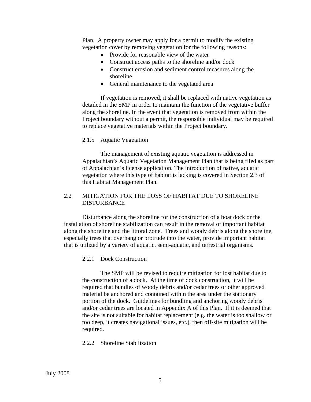Plan. A property owner may apply for a permit to modify the existing vegetation cover by removing vegetation for the following reasons:

- Provide for reasonable view of the water
- Construct access paths to the shoreline and/or dock
- Construct erosion and sediment control measures along the shoreline
- General maintenance to the vegetated area

If vegetation is removed, it shall be replaced with native vegetation as detailed in the SMP in order to maintain the function of the vegetative buffer along the shoreline. In the event that vegetation is removed from within the Project boundary without a permit, the responsible individual may be required to replace vegetative materials within the Project boundary.

#### 2.1.5 Aquatic Vegetation

The management of existing aquatic vegetation is addressed in Appalachian's Aquatic Vegetation Management Plan that is being filed as part of Appalachian's license application. The introduction of native, aquatic vegetation where this type of habitat is lacking is covered in Section 2.3 of this Habitat Management Plan.

## 2.2 MITIGATION FOR THE LOSS OF HABITAT DUE TO SHORELINE **DISTURBANCE**

Disturbance along the shoreline for the construction of a boat dock or the installation of shoreline stabilization can result in the removal of important habitat along the shoreline and the littoral zone. Trees and woody debris along the shoreline, especially trees that overhang or protrude into the water, provide important habitat that is utilized by a variety of aquatic, semi-aquatic, and terrestrial organisms.

#### 2.2.1 Dock Construction

The SMP will be revised to require mitigation for lost habitat due to the construction of a dock. At the time of dock construction, it will be required that bundles of woody debris and/or cedar trees or other approved material be anchored and contained within the area under the stationary portion of the dock. Guidelines for bundling and anchoring woody debris and/or cedar trees are located in Appendix A of this Plan. If it is deemed that the site is not suitable for habitat replacement (e.g. the water is too shallow or too deep, it creates navigational issues, etc.), then off-site mitigation will be required.

#### 2.2.2 Shoreline Stabilization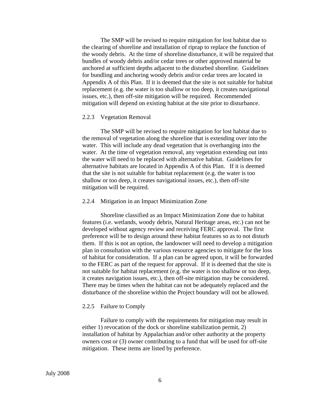The SMP will be revised to require mitigation for lost habitat due to the clearing of shoreline and installation of riprap to replace the function of the woody debris. At the time of shoreline disturbance, it will be required that bundles of woody debris and/or cedar trees or other approved material be anchored at sufficient depths adjacent to the disturbed shoreline. Guidelines for bundling and anchoring woody debris and/or cedar trees are located in Appendix A of this Plan. If it is deemed that the site is not suitable for habitat replacement (e.g. the water is too shallow or too deep, it creates navigational issues, etc.), then off-site mitigation will be required. Recommended mitigation will depend on existing habitat at the site prior to disturbance.

#### 2.2.3 Vegetation Removal

The SMP will be revised to require mitigation for lost habitat due to the removal of vegetation along the shoreline that is extending over into the water. This will include any dead vegetation that is overhanging into the water. At the time of vegetation removal, any vegetation extending out into the water will need to be replaced with alternative habitat. Guidelines for alternative habitats are located in Appendix A of this Plan. If it is deemed that the site is not suitable for habitat replacement (e.g. the water is too shallow or too deep, it creates navigational issues, etc.), then off-site mitigation will be required.

#### 2.2.4 Mitigation in an Impact Minimization Zone

Shoreline classified as an Impact Minimization Zone due to habitat features (i.e. wetlands, woody debris, Natural Heritage areas, etc.) can not be developed without agency review and receiving FERC approval. The first preference will be to design around these habitat features so as to not disturb them. If this is not an option, the landowner will need to develop a mitigation plan in consultation with the various resource agencies to mitigate for the loss of habitat for consideration. If a plan can be agreed upon, it will be forwarded to the FERC as part of the request for approval. If it is deemed that the site is not suitable for habitat replacement (e.g. the water is too shallow or too deep, it creates navigation issues, etc.), then off-site mitigation may be considered. There may be times when the habitat can not be adequately replaced and the disturbance of the shoreline within the Project boundary will not be allowed.

#### 2.2.5 Failure to Comply

Failure to comply with the requirements for mitigation may result in either 1) revocation of the dock or shoreline stabilization permit, 2) installation of habitat by Appalachian and/or other authority at the property owners cost or (3) owner contributing to a fund that will be used for off-site mitigation. These items are listed by preference.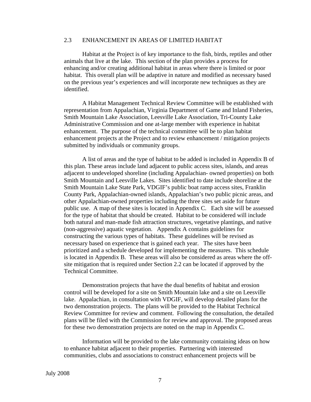### 2.3 ENHANCEMENT IN AREAS OF LIMITED HABITAT

Habitat at the Project is of key importance to the fish, birds, reptiles and other animals that live at the lake. This section of the plan provides a process for enhancing and/or creating additional habitat in areas where there is limited or poor habitat. This overall plan will be adaptive in nature and modified as necessary based on the previous year's experiences and will incorporate new techniques as they are identified.

A Habitat Management Technical Review Committee will be established with representation from Appalachian, Virginia Department of Game and Inland Fisheries, Smith Mountain Lake Association, Leesville Lake Association, Tri-County Lake Administrative Commission and one at-large member with experience in habitat enhancement. The purpose of the technical committee will be to plan habitat enhancement projects at the Project and to review enhancement / mitigation projects submitted by individuals or community groups.

A list of areas and the type of habitat to be added is included in Appendix B of this plan. These areas include land adjacent to public access sites, islands, and areas adjacent to undeveloped shoreline (including Appalachian- owned properties) on both Smith Mountain and Leesville Lakes. Sites identified to date include shoreline at the Smith Mountain Lake State Park, VDGIF's public boat ramp access sites, Franklin County Park, Appalachian-owned islands, Appalachian's two public picnic areas, and other Appalachian-owned properties including the three sites set aside for future public use. A map of these sites is located in Appendix C. Each site will be assessed for the type of habitat that should be created. Habitat to be considered will include both natural and man-made fish attraction structures, vegetative plantings, and native (non-aggressive) aquatic vegetation. Appendix A contains guidelines for constructing the various types of habitats. These guidelines will be revised as necessary based on experience that is gained each year. The sites have been prioritized and a schedule developed for implementing the measures. This schedule is located in Appendix B. These areas will also be considered as areas where the offsite mitigation that is required under Section 2.2 can be located if approved by the Technical Committee.

Demonstration projects that have the dual benefits of habitat and erosion control will be developed for a site on Smith Mountain lake and a site on Leesville lake. Appalachian, in consultation with VDGIF, will develop detailed plans for the two demonstration projects. The plans will be provided to the Habitat Technical Review Committee for review and comment. Following the consultation, the detailed plans will be filed with the Commission for review and approval. The proposed areas for these two demonstration projects are noted on the map in Appendix C.

Information will be provided to the lake community containing ideas on how to enhance habitat adjacent to their properties. Partnering with interested communities, clubs and associations to construct enhancement projects will be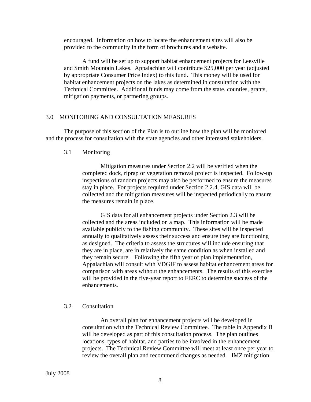encouraged. Information on how to locate the enhancement sites will also be provided to the community in the form of brochures and a website.

A fund will be set up to support habitat enhancement projects for Leesville and Smith Mountain Lakes. Appalachian will contribute \$25,000 per year (adjusted by appropriate Consumer Price Index) to this fund. This money will be used for habitat enhancement projects on the lakes as determined in consultation with the Technical Committee. Additional funds may come from the state, counties, grants, mitigation payments, or partnering groups.

### 3.0 MONITORING AND CONSULTATION MEASURES

The purpose of this section of the Plan is to outline how the plan will be monitored and the process for consultation with the state agencies and other interested stakeholders.

#### 3.1 Monitoring

Mitigation measures under Section 2.2 will be verified when the completed dock, riprap or vegetation removal project is inspected. Follow-up inspections of random projects may also be performed to ensure the measures stay in place. For projects required under Section 2.2.4, GIS data will be collected and the mitigation measures will be inspected periodically to ensure the measures remain in place.

GIS data for all enhancement projects under Section 2.3 will be collected and the areas included on a map. This information will be made available publicly to the fishing community. These sites will be inspected annually to qualitatively assess their success and ensure they are functioning as designed. The criteria to assess the structures will include ensuring that they are in place, are in relatively the same condition as when installed and they remain secure. Following the fifth year of plan implementation, Appalachian will consult with VDGIF to assess habitat enhancement areas for comparison with areas without the enhancements. The results of this exercise will be provided in the five-year report to FERC to determine success of the enhancements.

#### 3.2 Consultation

An overall plan for enhancement projects will be developed in consultation with the Technical Review Committee. The table in Appendix B will be developed as part of this consultation process. The plan outlines locations, types of habitat, and parties to be involved in the enhancement projects. The Technical Review Committee will meet at least once per year to review the overall plan and recommend changes as needed. IMZ mitigation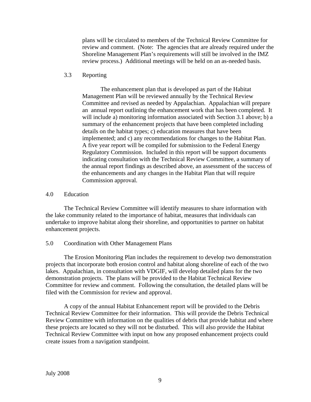plans will be circulated to members of the Technical Review Committee for review and comment. (Note: The agencies that are already required under the Shoreline Management Plan's requirements will still be involved in the IMZ review process.) Additional meetings will be held on an as-needed basis.

## 3.3 Reporting

The enhancement plan that is developed as part of the Habitat Management Plan will be reviewed annually by the Technical Review Committee and revised as needed by Appalachian. Appalachian will prepare an annual report outlining the enhancement work that has been completed. It will include a) monitoring information associated with Section 3.1 above; b) a summary of the enhancement projects that have been completed including details on the habitat types; c) education measures that have been implemented; and c) any recommendations for changes to the Habitat Plan. A five year report will be compiled for submission to the Federal Energy Regulatory Commission. Included in this report will be support documents indicating consultation with the Technical Review Committee, a summary of the annual report findings as described above, an assessment of the success of the enhancements and any changes in the Habitat Plan that will require Commission approval.

## 4.0 Education

The Technical Review Committee will identify measures to share information with the lake community related to the importance of habitat, measures that individuals can undertake to improve habitat along their shoreline, and opportunities to partner on habitat enhancement projects.

## 5.0 Coordination with Other Management Plans

The Erosion Monitoring Plan includes the requirement to develop two demonstration projects that incorporate both erosion control and habitat along shoreline of each of the two lakes. Appalachian, in consultation with VDGIF, will develop detailed plans for the two demonstration projects. The plans will be provided to the Habitat Technical Review Committee for review and comment. Following the consultation, the detailed plans will be filed with the Commission for review and approval.

A copy of the annual Habitat Enhancement report will be provided to the Debris Technical Review Committee for their information. This will provide the Debris Technical Review Committee with information on the qualities of debris that provide habitat and where these projects are located so they will not be disturbed. This will also provide the Habitat Technical Review Committee with input on how any proposed enhancement projects could create issues from a navigation standpoint.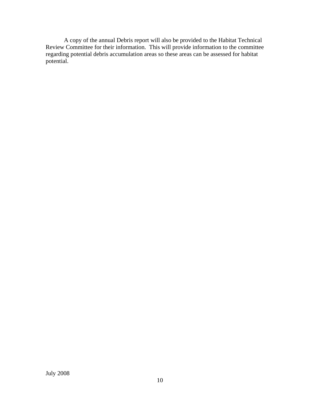A copy of the annual Debris report will also be provided to the Habitat Technical Review Committee for their information. This will provide information to the committee regarding potential debris accumulation areas so these areas can be assessed for habitat potential.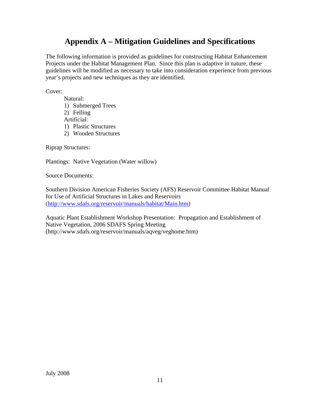## **Appendix A – Mitigation Guidelines and Specifications**

The following information is provided as guidelines for constructing Habitat Enhancement Projects under the Habitat Management Plan. Since this plan is adaptive in nature, these guidelines will be modified as necessary to take into consideration experience from previous year's projects and new techniques as they are identified.

Cover:

- Natural:
- 1) Submerged Trees
- 2) Felling
- Artificial:
- 1) Plastic Structures
- 2) Wooden Structures

Riprap Structures:

Plantings: Native Vegetation (Water willow)

Source Documents:

Southern Division American Fisheries Society (AFS) Reservoir Committee Habitat Manual for Use of Artificial Structures in Lakes and Reservoirs (http://www.sdafs.org/reservoir/manuals/habitat/Main.htm)

Aquatic Plant Establishment Workshop Presentation: Propagation and Establishment of Native Vegetation, 2006 SDAFS Spring Meeting (http://www.sdafs.org/reservoir/manuals/aqveg/veghome.htm)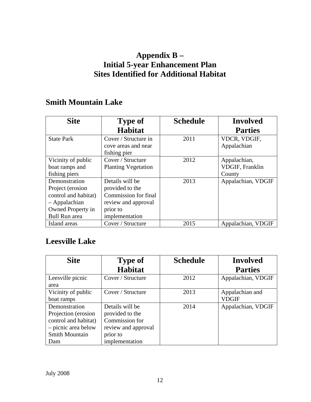## **Appendix B – Initial 5-year Enhancement Plan Sites Identified for Additional Habitat**

## **Smith Mountain Lake**

| <b>Site</b>          | <b>Type of</b>                                              | <b>Schedule</b> | <b>Involved</b>             |
|----------------------|-------------------------------------------------------------|-----------------|-----------------------------|
|                      | <b>Habitat</b>                                              |                 | <b>Parties</b>              |
| <b>State Park</b>    | Cover / Structure in<br>cove areas and near<br>fishing pier | 2011            | VDCR, VDGIF,<br>Appalachian |
| Vicinity of public   | Cover / Structure                                           | 2012            | Appalachian,                |
| boat ramps and       | <b>Planting Vegetation</b>                                  |                 | VDGIF, Franklin             |
| fishing piers        |                                                             |                 | County                      |
| Demonstration        | Details will be                                             | 2013            | Appalachian, VDGIF          |
| Project (erosion     | provided to the                                             |                 |                             |
| control and habitat) | Commission for final                                        |                 |                             |
| - Appalachian        | review and approval                                         |                 |                             |
| Owned Property in    | prior to                                                    |                 |                             |
| <b>Bull Run area</b> | implementation                                              |                 |                             |
| Island areas         | Cover / Structure                                           | 2015            | Appalachian, VDGIF          |

## **Leesville Lake**

| <b>Site</b>          | <b>Type of</b>      | <b>Schedule</b> | <b>Involved</b>    |
|----------------------|---------------------|-----------------|--------------------|
|                      | <b>Habitat</b>      |                 | <b>Parties</b>     |
| Leesville picnic     | Cover / Structure   | 2012            | Appalachian, VDGIF |
| area                 |                     |                 |                    |
| Vicinity of public   | Cover / Structure   | 2013            | Appalachian and    |
| boat ramps           |                     |                 | <b>VDGIF</b>       |
| Demonstration        | Details will be     | 2014            | Appalachian, VDGIF |
| Projection (erosion) | provided to the     |                 |                    |
| control and habitat) | Commission for      |                 |                    |
| - picnic area below  | review and approval |                 |                    |
| Smith Mountain       | prior to            |                 |                    |
| Dam                  | implementation      |                 |                    |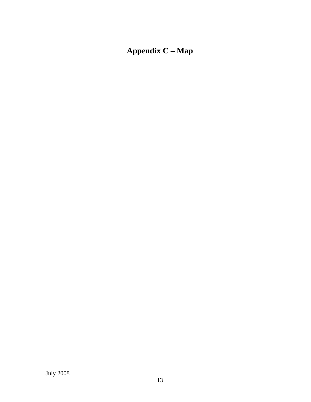# **Appendix C – Map**